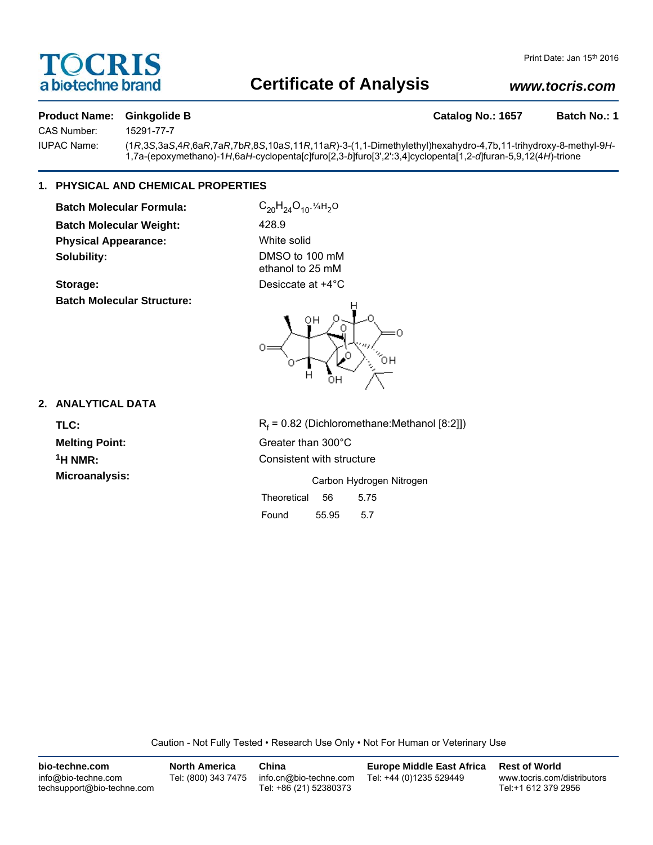## TOCRIS a biotechne brand

### **Certificate of Analysis**

### *www.tocris.com*

#### **Product Name:** Ginkgolide B **Catalog No.: 1657** Batch No.: 1

CAS Number: 15291-77-7

IUPAC Name: (1*R*,3*S*,3a*S*,4*R*,6a*R*,7a*R*,7b*R*,8*S*,10a*S*,11*R*,11a*R*)-3-(1,1-Dimethylethyl)hexahydro-4,7b,11-trihydroxy-8-methyl-9*H*-1,7a-(epoxymethano)-1*H*,6a*H*-cyclopenta[*c*]furo[2,3-*b*]furo[3',2':3,4]cyclopenta[1,2-*d*]furan-5,9,12(4*H*)-trione

#### **1. PHYSICAL AND CHEMICAL PROPERTIES**

**Batch Molecular Formula:** C<sub>20</sub>H<sub>24</sub>O<sub>10</sub>.<sup>14H<sub>2</sub>O</sup> **Batch Molecular Weight:** 428.9 **Physical Appearance:** White solid **Solubility:** DMSO to 100 mM

**Batch Molecular Structure:**

ethanol to 25 mM **Storage:** Desiccate at  $+4^{\circ}$ C



#### **2. ANALYTICAL DATA**

TLC: R<sub>f</sub>

 $R_f$  = 0.82 (Dichloromethane:Methanol [8:2]]) **Melting Point:** Greater than 300°C **1H NMR:** Consistent with structure

**Microanalysis:** Microanalysis: Exercise 2012 Carbon Hydrogen Nitrogen Theoretical 56 5.75

Found 55.95 5.7

Caution - Not Fully Tested • Research Use Only • Not For Human or Veterinary Use

| bio-techne.com                                    | <b>North America</b> | China                                            | <b>Europe Middle East Africa</b> | <b>Rest of World</b>                               |
|---------------------------------------------------|----------------------|--------------------------------------------------|----------------------------------|----------------------------------------------------|
| info@bio-techne.com<br>techsupport@bio-techne.com | Tel: (800) 343 7475  | info.cn@bio-techne.com<br>Tel: +86 (21) 52380373 | Tel: +44 (0)1235 529449          | www.tocris.com/distributors<br>Tel:+1 612 379 2956 |